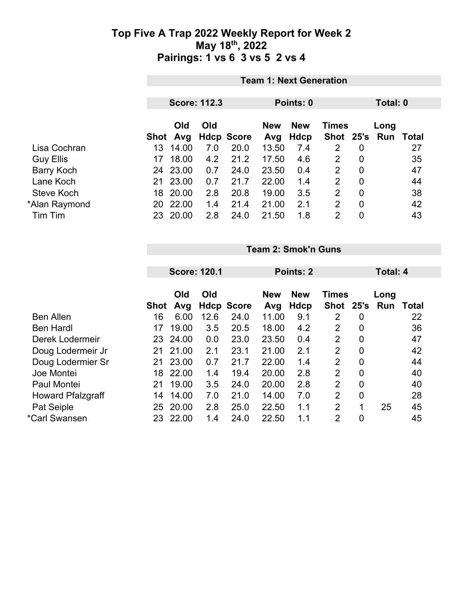|                   |                 | <b>Team 1: Next Generation</b> |                   |                   |                    |                |                |                             |    |  |
|-------------------|-----------------|--------------------------------|-------------------|-------------------|--------------------|----------------|----------------|-----------------------------|----|--|
|                   |                 | <b>Score: 112.3</b>            |                   |                   |                    | Points: 0      |                |                             |    |  |
|                   | Old<br>Shot Avg | Old                            | <b>Hdcp Score</b> | <b>New</b><br>Avg | <b>New</b><br>Hdcp | <b>Times</b>   |                | Long<br>Shot 25's Run Total |    |  |
| Lisa Cochran      | 14.00<br>13     | 7.0                            | 20.0              | 13.50             | 7.4                | 2              | 0              |                             | 27 |  |
| <b>Guy Ellis</b>  | 18.00<br>17     | 4.2                            | 21.2              | 17.50             | 4.6                | 2              | 0              |                             | 35 |  |
| <b>Barry Koch</b> | 24 23.00        | 0.7                            | 24.0              | 23.50             | 0.4                | $\overline{2}$ | $\overline{0}$ |                             | 47 |  |
| Lane Koch         | 23.00<br>21     | 0.7                            | 21.7              | 22.00             | 1.4                | 2              | $\overline{0}$ |                             | 44 |  |
| Steve Koch        | 20.00<br>18     | 2.8                            | 20.8              | 19.00             | 3.5                | 2              | 0              |                             | 38 |  |
| *Alan Raymond     | 22.00<br>20     | 1.4                            | 21.4              | 21.00             | 2.1                | 2              | $\overline{0}$ |                             | 42 |  |
| Tim Tim           | 20.00<br>23     | 2.8                            | 24.0              | 21.50             | 1.8                | 2              | 0              |                             | 43 |  |

**Team 2: Smok'n Guns**

|                          |             | <b>Score: 120.1</b> |      |                   |            | Points: 2  |                |                | Total: 4 |              |  |
|--------------------------|-------------|---------------------|------|-------------------|------------|------------|----------------|----------------|----------|--------------|--|
|                          |             | Old                 | Old  |                   | <b>New</b> | <b>New</b> | <b>Times</b>   |                | Long     |              |  |
|                          | <b>Shot</b> | Avg                 |      | <b>Hdcp Score</b> | Avg        | Hdcp       | <b>Shot</b>    | 25's           | Run      | <b>Total</b> |  |
| <b>Ben Allen</b>         | 16          | 6.00                | 12.6 | 24.0              | 11.00      | 9.1        | 2              | 0              |          | 22           |  |
| <b>Ben Hardl</b>         | 17          | 19.00               | 3.5  | 20.5              | 18.00      | 4.2        | 2              | $\mathbf 0$    |          | 36           |  |
| Derek Lodermeir          | 23          | 24.00               | 0.0  | 23.0              | 23.50      | 0.4        | $\overline{2}$ | $\overline{0}$ |          | 47           |  |
| Doug Lodermeir Jr        | 21          | 21.00               | 2.1  | 23.1              | 21.00      | 2.1        | 2              | 0              |          | 42           |  |
| Doug Lodermier Sr        | 21          | 23.00               | 0.7  | 21.7              | 22.00      | 1.4        | $\overline{2}$ | 0              |          | 44           |  |
| Joe Montei               | 18          | 22.00               | 1.4  | 19.4              | 20.00      | 2.8        | $\overline{2}$ | 0              |          | 40           |  |
| Paul Montei              | 21          | 19.00               | 3.5  | 24.0              | 20.00      | 2.8        | $\overline{2}$ | $\overline{0}$ |          | 40           |  |
| <b>Howard Pfalzgraff</b> | 14          | 14.00               | 7.0  | 21.0              | 14.00      | 7.0        | 2              | $\mathbf 0$    |          | 28           |  |
| Pat Seiple               | 25          | 20.00               | 2.8  | 25.0              | 22.50      | 1.1        | 2              | 1              | 25       | 45           |  |
| *Carl Swansen            | 23          | 22.00               | 1.4  | 24.0              | 22.50      | 1.1        | 2              | $\overline{0}$ |          | 45           |  |
|                          |             |                     |      |                   |            |            |                |                |          |              |  |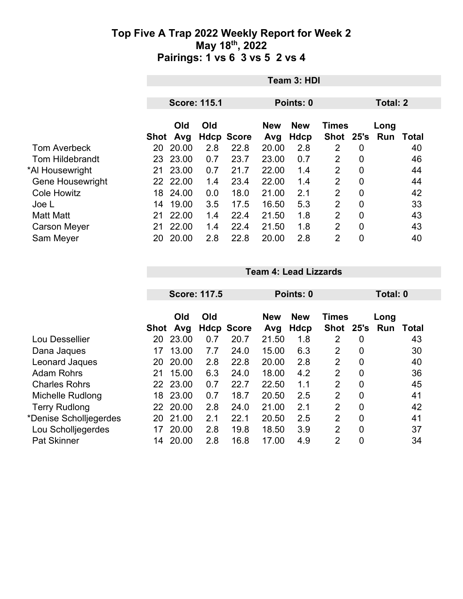|                         | Team 3: HDI |                     |     |                   |                   |                    |                             |      |                 |       |
|-------------------------|-------------|---------------------|-----|-------------------|-------------------|--------------------|-----------------------------|------|-----------------|-------|
|                         |             | <b>Score: 115.1</b> |     |                   |                   | Points: 0          |                             |      | <b>Total: 2</b> |       |
|                         | Shot        | <b>Old</b><br>Avg   | Old | <b>Hdcp Score</b> | <b>New</b><br>Avg | <b>New</b><br>Hdcp | <b>Times</b><br><b>Shot</b> | 25's | Long<br>Run     | Total |
| <b>Tom Averbeck</b>     | 20          | 20.00               | 2.8 | 22.8              | 20.00             | 2.8                | 2                           | 0    |                 | 40    |
| <b>Tom Hildebrandt</b>  | 23          | 23.00               | 0.7 | 23.7              | 23.00             | 0.7                | 2                           | 0    |                 | 46    |
| *Al Housewright         | 21          | 23.00               | 0.7 | 21.7              | 22.00             | 1.4                | $\overline{2}$              | 0    |                 | 44    |
| <b>Gene Housewright</b> |             | 22 22.00            | 1.4 | 23.4              | 22.00             | 1.4                | $\overline{2}$              | 0    |                 | 44    |
| <b>Cole Howitz</b>      | 18          | 24.00               | 0.0 | 18.0              | 21.00             | 2.1                | 2                           | 0    |                 | 42    |
| Joe L                   | 14          | 19.00               | 3.5 | 17.5              | 16.50             | 5.3                | 2                           | 0    |                 | 33    |
| <b>Matt Matt</b>        | 21          | 22.00               | 1.4 | 22.4              | 21.50             | 1.8                | 2                           | 0    |                 | 43    |
| <b>Carson Meyer</b>     | 21          | 22.00               | 1.4 | 22.4              | 21.50             | 1.8                | $\overline{2}$              | 0    |                 | 43    |
| Sam Meyer               | 20          | 20.00               | 2.8 | 22.8              | 20.00             | 2.8                | $\overline{2}$              | 0    |                 | 40    |

|                        |      |            | <b>Score: 117.5</b> |                   | Points: 0                                |             |                |                | Total: 0 |       |  |
|------------------------|------|------------|---------------------|-------------------|------------------------------------------|-------------|----------------|----------------|----------|-------|--|
|                        |      | Old<br>Old |                     |                   | <b>New</b><br><b>New</b><br><b>Times</b> |             |                |                | Long     |       |  |
|                        | Shot | Avg        |                     | <b>Hdcp Score</b> | Avg                                      | <b>Hdcp</b> | <b>Shot</b>    | 25's           | Run      | Total |  |
| Lou Dessellier         | 20   | 23.00      | 0.7                 | 20.7              | 21.50                                    | 1.8         | 2              | 0              |          | 43    |  |
| Dana Jaques            | 17   | 13.00      | 7.7                 | 24.0              | 15.00                                    | 6.3         | 2              | 0              |          | 30    |  |
| Leonard Jaques         | 20   | 20.00      | 2.8                 | 22.8              | 20.00                                    | 2.8         | 2              | $\overline{0}$ |          | 40    |  |
| <b>Adam Rohrs</b>      | 21   | 15.00      | 6.3                 | 24.0              | 18.00                                    | 4.2         | 2              | 0              |          | 36    |  |
| <b>Charles Rohrs</b>   |      | 22 23.00   | 0.7                 | 22.7              | 22.50                                    | 1.1         | $\overline{2}$ | $\overline{0}$ |          | 45    |  |
| Michelle Rudlong       | 18   | 23.00      | 0.7                 | 18.7              | 20.50                                    | 2.5         | $\overline{2}$ | $\overline{0}$ |          | 41    |  |
| <b>Terry Rudlong</b>   | 22   | 20.00      | 2.8                 | 24.0              | 21.00                                    | 2.1         | $\overline{2}$ | 0              |          | 42    |  |
| *Denise Scholljegerdes | 20   | 21.00      | 2.1                 | 22.1              | 20.50                                    | 2.5         | 2              | $\overline{0}$ |          | 41    |  |
| Lou Scholljegerdes     | 17   | 20.00      | 2.8                 | 19.8              | 18.50                                    | 3.9         | 2              | $\overline{0}$ |          | 37    |  |
| <b>Pat Skinner</b>     | 14   | 20.00      | 2.8                 | 16.8              | 17.00                                    | 4.9         | 2              | 0              |          | 34    |  |

**Team 4: Lead Lizzards**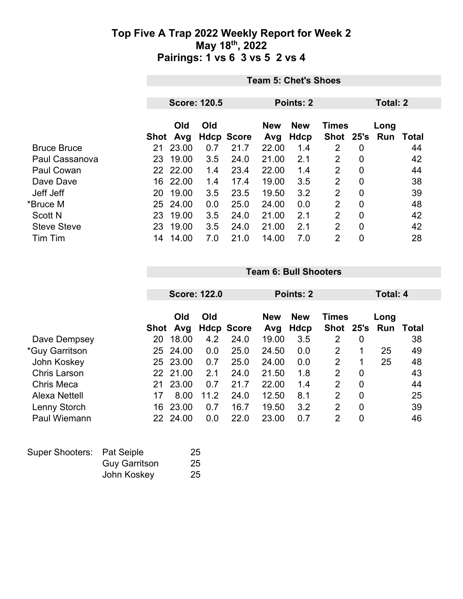|                    | <b>Team 5: Chet's Shoes</b> |                     |     |                   |            |             |                |      |          |       |  |
|--------------------|-----------------------------|---------------------|-----|-------------------|------------|-------------|----------------|------|----------|-------|--|
|                    |                             |                     |     |                   |            |             |                |      |          |       |  |
|                    |                             | <b>Score: 120.5</b> |     |                   | Points: 2  |             |                |      | Total: 2 |       |  |
|                    |                             | Old                 | Old |                   | <b>New</b> | <b>New</b>  | <b>Times</b>   |      | Long     |       |  |
|                    | <b>Shot</b>                 | Avg                 |     | <b>Hdcp Score</b> | Avg        | <b>Hdcp</b> | <b>Shot</b>    | 25's | Run      | Total |  |
| <b>Bruce Bruce</b> | 21                          | 23.00               | 0.7 | 21.7              | 22.00      | 1.4         | 2              | 0    |          | 44    |  |
| Paul Cassanova     | 23                          | 19.00               | 3.5 | 24.0              | 21.00      | 2.1         | $\overline{2}$ | 0    |          | 42    |  |
| <b>Paul Cowan</b>  |                             | 22 22.00            | 1.4 | 23.4              | 22.00      | 1.4         | $\overline{2}$ | 0    |          | 44    |  |
| Dave Dave          | 16                          | 22.00               | 1.4 | 17.4              | 19.00      | 3.5         | 2              | 0    |          | 38    |  |
| Jeff Jeff          | 20                          | 19.00               | 3.5 | 23.5              | 19.50      | 3.2         | 2              | 0    |          | 39    |  |
| *Bruce M           | 25                          | 24.00               | 0.0 | 25.0              | 24.00      | 0.0         | 2              | 0    |          | 48    |  |
| <b>Scott N</b>     | 23                          | 19.00               | 3.5 | 24.0              | 21.00      | 2.1         | 2              | 0    |          | 42    |  |
| <b>Steve Steve</b> | 23                          | 19.00               | 3.5 | 24.0              | 21.00      | 2.1         | $\overline{2}$ | 0    |          | 42    |  |
| Tim Tim            | 14                          | 14.00               | 7.0 | 21.0              | 14.00      | 7.0         | 2              | 0    |          | 28    |  |

|                   |      | <b>Score: 122.0</b> |      |                   |                   |                    |                      | Total: 4       |             |       |  |
|-------------------|------|---------------------|------|-------------------|-------------------|--------------------|----------------------|----------------|-------------|-------|--|
|                   |      |                     |      |                   | Points: 2         |                    |                      |                |             |       |  |
|                   | Shot | Old<br>Avg          | Old  | <b>Hdcp Score</b> | <b>New</b><br>Avg | <b>New</b><br>Hdcp | Times<br><b>Shot</b> | 25's           | Long<br>Run | Total |  |
| Dave Dempsey      | 20   | 18.00               | 4.2  | 24.0              | 19.00             | 3.5                | 2                    | 0              |             | 38    |  |
| *Guy Garritson    | 25   | 24.00               | 0.0  | 25.0              | 24.50             | 0.0                | 2                    | 1              | 25          | 49    |  |
| John Koskey       | 25   | 23.00               | 0.7  | 25.0              | 24.00             | 0.0                | $\overline{2}$       | 1              | 25          | 48    |  |
| Chris Larson      | 22.  | 21.00               | 2.1  | 24.0              | 21.50             | 1.8                | $\overline{2}$       | $\overline{0}$ |             | 43    |  |
| <b>Chris Meca</b> | 21   | 23.00               | 0.7  | 21.7              | 22.00             | 1.4                | $\overline{2}$       | $\overline{0}$ |             | 44    |  |
| Alexa Nettell     | 17   | 8.00                | 11.2 | 24.0              | 12.50             | 8.1                | 2                    | $\overline{0}$ |             | 25    |  |
| Lenny Storch      | 16   | 23.00               | 0.7  | 16.7              | 19.50             | 3.2                | $\overline{2}$       | $\overline{0}$ |             | 39    |  |
| Paul Wiemann      |      | 22 24.00            | 0.0  | 22.0              | 23.00             | 0.7                | 2                    | $\overline{0}$ |             | 46    |  |

**Team 6: Bull Shooters**

| Super Shooters: Pat Seiple |                      | 25  |
|----------------------------|----------------------|-----|
|                            | <b>Guy Garritson</b> | 25  |
|                            | John Koskey          | -25 |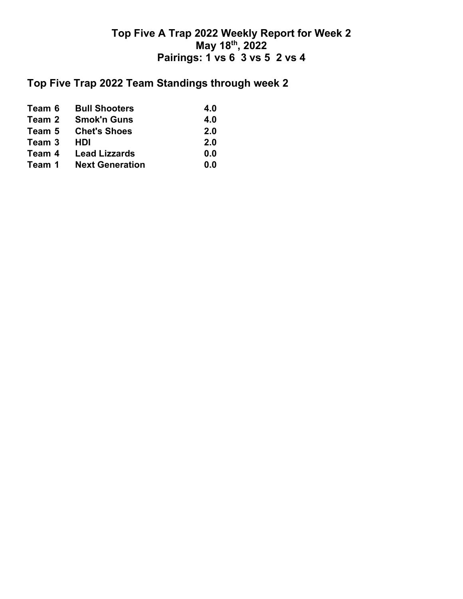# **Top Five Trap 2022 Team Standings through week 2**

| Team 6 | <b>Bull Shooters</b>   | 4.0 |
|--------|------------------------|-----|
| Team 2 | <b>Smok'n Guns</b>     | 4.0 |
| Team 5 | <b>Chet's Shoes</b>    | 2.0 |
| Team 3 | HDI                    | 2.0 |
| Team 4 | <b>Lead Lizzards</b>   | 0.0 |
| Team 1 | <b>Next Generation</b> | 0.0 |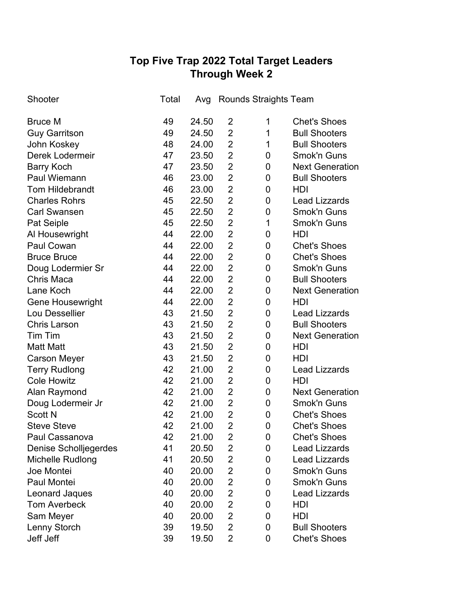# **Top Five Trap 2022 Total Target Leaders Through Week 2**

| Shooter                 | Total | Avg   |                | <b>Rounds Straights Team</b> |                        |
|-------------------------|-------|-------|----------------|------------------------------|------------------------|
| <b>Bruce M</b>          | 49    | 24.50 | 2              | 1                            | <b>Chet's Shoes</b>    |
| <b>Guy Garritson</b>    | 49    | 24.50 | $\overline{2}$ | $\mathbf{1}$                 | <b>Bull Shooters</b>   |
| John Koskey             | 48    | 24.00 | $\overline{2}$ | 1                            | <b>Bull Shooters</b>   |
| Derek Lodermeir         | 47    | 23.50 | $\overline{2}$ | 0                            | Smok'n Guns            |
| <b>Barry Koch</b>       | 47    | 23.50 | $\overline{2}$ | 0                            | <b>Next Generation</b> |
| Paul Wiemann            | 46    | 23.00 | $\overline{2}$ | 0                            | <b>Bull Shooters</b>   |
| <b>Tom Hildebrandt</b>  | 46    | 23.00 | $\overline{2}$ | 0                            | HDI                    |
| <b>Charles Rohrs</b>    | 45    | 22.50 | $\overline{2}$ | 0                            | <b>Lead Lizzards</b>   |
| <b>Carl Swansen</b>     | 45    | 22.50 | $\overline{2}$ | 0                            | Smok'n Guns            |
| Pat Seiple              | 45    | 22.50 | $\overline{2}$ | 1                            | Smok'n Guns            |
| Al Housewright          | 44    | 22.00 | $\overline{2}$ | 0                            | HDI                    |
| Paul Cowan              | 44    | 22.00 | $\overline{2}$ | 0                            | <b>Chet's Shoes</b>    |
| <b>Bruce Bruce</b>      | 44    | 22.00 | $\overline{2}$ | 0                            | <b>Chet's Shoes</b>    |
| Doug Lodermier Sr       | 44    | 22.00 | $\overline{2}$ | 0                            | Smok'n Guns            |
| <b>Chris Maca</b>       | 44    | 22.00 | $\overline{2}$ | 0                            | <b>Bull Shooters</b>   |
| Lane Koch               | 44    | 22.00 | $\overline{2}$ | 0                            | <b>Next Generation</b> |
| <b>Gene Housewright</b> | 44    | 22.00 | $\overline{2}$ | 0                            | HDI                    |
| Lou Dessellier          | 43    | 21.50 | $\overline{2}$ | 0                            | <b>Lead Lizzards</b>   |
| <b>Chris Larson</b>     | 43    | 21.50 | $\overline{2}$ | 0                            | <b>Bull Shooters</b>   |
| Tim Tim                 | 43    | 21.50 | $\overline{2}$ | 0                            | <b>Next Generation</b> |
| <b>Matt Matt</b>        | 43    | 21.50 | $\overline{2}$ | 0                            | HDI                    |
| <b>Carson Meyer</b>     | 43    | 21.50 | $\overline{2}$ | 0                            | HDI                    |
| <b>Terry Rudlong</b>    | 42    | 21.00 | $\overline{2}$ | 0                            | <b>Lead Lizzards</b>   |
| <b>Cole Howitz</b>      | 42    | 21.00 | $\overline{2}$ | 0                            | HDI                    |
| Alan Raymond            | 42    | 21.00 | $\overline{2}$ | 0                            | <b>Next Generation</b> |
| Doug Lodermeir Jr       | 42    | 21.00 | $\overline{2}$ | 0                            | Smok'n Guns            |
| <b>Scott N</b>          | 42    | 21.00 | $\overline{2}$ | 0                            | <b>Chet's Shoes</b>    |
| <b>Steve Steve</b>      | 42    | 21.00 | $\overline{2}$ | 0                            | <b>Chet's Shoes</b>    |
| Paul Cassanova          | 42    | 21.00 | 2              | 0                            | <b>Chet's Shoes</b>    |
| Denise Scholljegerdes   | 41    | 20.50 | $\overline{2}$ | 0                            | <b>Lead Lizzards</b>   |
| Michelle Rudlong        | 41    | 20.50 | $\overline{2}$ | 0                            | <b>Lead Lizzards</b>   |
| Joe Montei              | 40    | 20.00 | $\overline{2}$ | 0                            | Smok'n Guns            |
| Paul Montei             | 40    | 20.00 | $\overline{2}$ | 0                            | Smok'n Guns            |
| Leonard Jaques          | 40    | 20.00 | $\overline{2}$ | 0                            | <b>Lead Lizzards</b>   |
| <b>Tom Averbeck</b>     | 40    | 20.00 | $\overline{2}$ | 0                            | HDI                    |
| Sam Meyer               | 40    | 20.00 | $\overline{2}$ | 0                            | HDI                    |
| Lenny Storch            | 39    | 19.50 | $\overline{2}$ | 0                            | <b>Bull Shooters</b>   |
| Jeff Jeff               | 39    | 19.50 | $\overline{2}$ | 0                            | <b>Chet's Shoes</b>    |